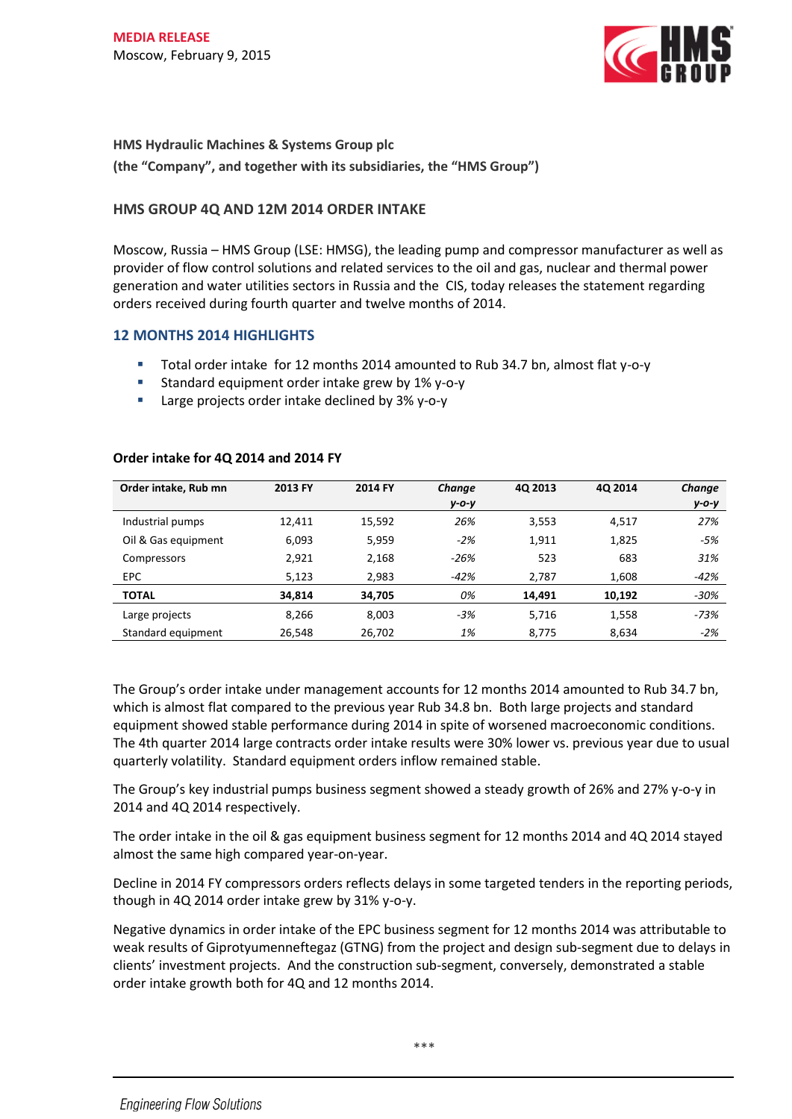

**HMS Hydraulic Machines & Systems Group plc (the "Company", and together with its subsidiaries, the "HMS Group")**

# **HMS GROUP 4Q AND 12M 2014 ORDER INTAKE**

Moscow, Russia – HMS Group (LSE: HMSG), the leading pump and compressor manufacturer as well as provider of flow control solutions and related services to the oil and gas, nuclear and thermal power generation and water utilities sectors in Russia and the CIS, today releases the statement regarding orders received during fourth quarter and twelve months of 2014.

## **12 MONTHS 2014 HIGHLIGHTS**

- Total order intake for 12 months 2014 amounted to Rub 34.7 bn, almost flat y-o-y
- Standard equipment order intake grew by 1% y-o-y
- **Large projects order intake declined by 3% y-o-y**

| Order intake, Rub mn | 2013 FY | 2014 FY | Change   | 4Q 2013 | 40 2014 | Change   |
|----------------------|---------|---------|----------|---------|---------|----------|
|                      |         |         | $y$ -0-y |         |         | $y$ -0-y |
| Industrial pumps     | 12,411  | 15,592  | 26%      | 3,553   | 4,517   | 27%      |
| Oil & Gas equipment  | 6,093   | 5,959   | $-2%$    | 1,911   | 1,825   | -5%      |
| Compressors          | 2,921   | 2,168   | $-26%$   | 523     | 683     | 31%      |
| EPC                  | 5,123   | 2,983   | -42%     | 2,787   | 1,608   | $-42%$   |
| <b>TOTAL</b>         | 34,814  | 34,705  | 0%       | 14,491  | 10,192  | $-30%$   |
| Large projects       | 8,266   | 8,003   | $-3%$    | 5,716   | 1,558   | $-73%$   |
| Standard equipment   | 26,548  | 26,702  | 1%       | 8,775   | 8,634   | $-2%$    |

### **Order intake for 4Q 2014 and 2014 FY**

The Group's order intake under management accounts for 12 months 2014 amounted to Rub 34.7 bn, which is almost flat compared to the previous year Rub 34.8 bn. Both large projects and standard equipment showed stable performance during 2014 in spite of worsened macroeconomic conditions. The 4th quarter 2014 large contracts order intake results were 30% lower vs. previous year due to usual quarterly volatility. Standard equipment orders inflow remained stable.

The Group's key industrial pumps business segment showed a steady growth of 26% and 27% y-o-y in 2014 and 4Q 2014 respectively.

The order intake in the oil & gas equipment business segment for 12 months 2014 and 4Q 2014 stayed almost the same high compared year-on-year.

Decline in 2014 FY compressors orders reflects delays in some targeted tenders in the reporting periods, though in 4Q 2014 order intake grew by 31% y-o-y.

Negative dynamics in order intake of the EPC business segment for 12 months 2014 was attributable to weak results of Giprotyumenneftegaz (GTNG) from the project and design sub-segment due to delays in clients' investment projects. And the construction sub-segment, conversely, demonstrated a stable order intake growth both for 4Q and 12 months 2014.

\*\*\*